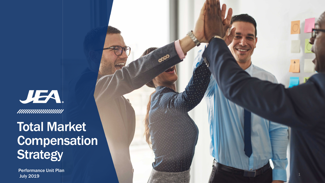JEA. **IIIIIIIIIIIIIIIIIIII** 

### Total Market Compensation **Strategy**

Performance Unit Plan July 2019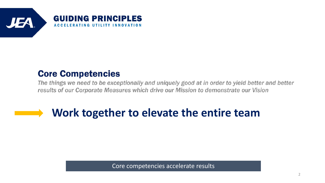

### **Core Competencies**

The things we need to be exceptionally and uniquely good at in order to yield better and better results of our Corporate Measures which drive our Mission to demonstrate our Vision

### **Work together to elevate the entire team**

Core competencies accelerate results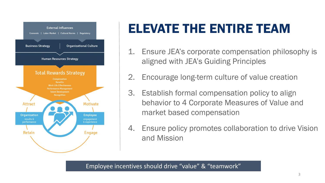

# ELEVATE THE ENTIRE TEAM

- 1. Ensure JEA's corporate compensation philosophy is aligned with JEA's Guiding Principles
- 2. Encourage long-term culture of value creation
- 3. Establish formal compensation policy to align behavior to 4 Corporate Measures of Value and market based compensation
- 4. Ensure policy promotes collaboration to drive Vision and Mission

Employee incentives should drive "value" & "teamwork"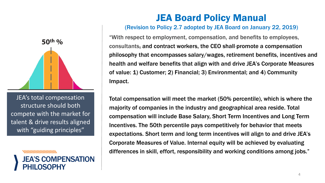

JEA's total compensation structure should both compete with the market for talent & drive results aligned with "guiding principles"

nummummum JEA'S COMPENSATION **DSOPHY** 

### JEA Board Policy Manual

#### (Revision to Policy 2.7 adopted by JEA Board on January 22, 2019)

"With respect to employment, compensation, and benefits to employees, consultants, and contract workers, the CEO shall promote a compensation philosophy that encompasses salary/wages, retirement benefits, incentives and health and welfare benefits that align with and drive JEA's Corporate Measures of value: 1) Customer; 2) Financial; 3) Environmental; and 4) Community Impact.

Total compensation will meet the market (50% percentile), which is where the majority of companies in the industry and geographical area reside. Total compensation will include Base Salary, Short Term Incentives and Long Term Incentives. The 50th percentile pays competitively for behavior that meets expectations. Short term and long term incentives will align to and drive JEA's Corporate Measures of Value. Internal equity will be achieved by evaluating differences in skill, effort, responsibility and working conditions among jobs."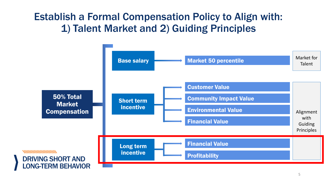### Establish a Formal Compensation Policy to Align with: 1) Talent Market and 2) Guiding Principles

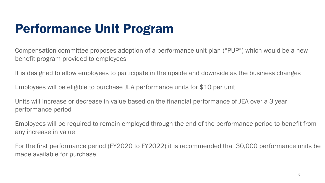## Performance Unit Program

Compensation committee proposes adoption of a performance unit plan ("PUP") which would be a new benefit program provided to employees

It is designed to allow employees to participate in the upside and downside as the business changes

Employees will be eligible to purchase JEA performance units for \$10 per unit

Units will increase or decrease in value based on the financial performance of JEA over a 3 year performance period

Employees will be required to remain employed through the end of the performance period to benefit from any increase in value

For the first performance period (FY2020 to FY2022) it is recommended that 30,000 performance units be made available for purchase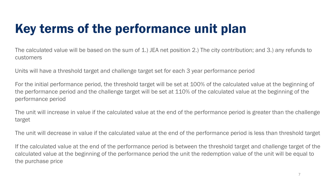# Key terms of the performance unit plan

The calculated value will be based on the sum of 1.) JEA net position 2.) The city contribution; and 3.) any refunds to customers

Units will have a threshold target and challenge target set for each 3 year performance period

For the initial performance period, the threshold target will be set at 100% of the calculated value at the beginning of the performance period and the challenge target will be set at 110% of the calculated value at the beginning of the performance period

The unit will increase in value if the calculated value at the end of the performance period is greater than the challenge target

The unit will decrease in value if the calculated value at the end of the performance period is less than threshold target

If the calculated value at the end of the performance period is between the threshold target and challenge target of the calculated value at the beginning of the performance period the unit the redemption value of the unit will be equal to the purchase price